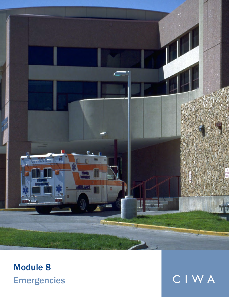

## Module 8 Emergencies CIWA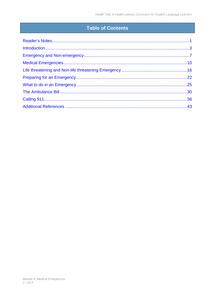#### **Table of Contents**

| Introduction 13 |  |
|-----------------|--|
|                 |  |
|                 |  |
|                 |  |
|                 |  |
|                 |  |
|                 |  |
|                 |  |
|                 |  |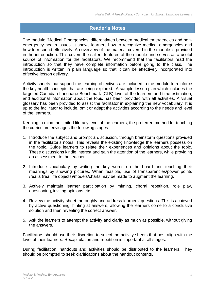#### **Reader's Notes**

<span id="page-2-0"></span>The module 'Medical Emergencies' differentiates between medical emergencies and nonemergency health issues. It shows learners how to recognize medical emergencies and how to respond effectively. An overview of the material covered in the module is provided in the introduction. This covers the salient features of the module and serves as a useful source of information for the facilitators. We recommend that the facilitators read the introduction so that they have complete information before going to the class. The introduction is written in plain language so that it can be effectively incorporated into effective lesson delivery.

Activity sheets that support the learning objectives are included in the module to reinforce the key health concepts that are being explored. A sample lesson plan which includes the targeted Canadian Language Benchmark (CLB) level of the learners and time estimation; and additional information about the topic has been provided with all activities. A visual glossary has been provided to assist the facilitator in explaining the new vocabulary. It is up to the facilitator to include, omit or adapt the activities according to the needs and level of the learners.

Keeping in mind the limited literacy level of the learners, the preferred method for teaching the curriculum envisages the following stages:

- 1. Introduce the subject and prompt a discussion, through brainstorm questions provided in the facilitator's notes. This reveals the existing knowledge the learners possess on the topic. Guide learners to relate their experiences and opinions about the topic. These discussions kindle interest and gain the attention of the learners, while providing an assessment to the teacher.
- 2. Introduce vocabulary by writing the key words on the board and teaching their meanings by showing pictures. When feasible, use of transparencies/power points /realia (real life objects)/models/charts may be made to augment the learning.
- 3. Actively maintain learner participation by miming, choral repetition, role play, questioning, inviting opinions etc.
- 4. Review the activity sheet thoroughly and address learners' questions. This is achieved by active questioning, hinting at answers, allowing the learners come to a conclusive solution and then revealing the correct answer.
- 5. Ask the learners to attempt the activity and clarify as much as possible, without giving the answers.

Facilitators should use their discretion to select the activity sheets that best align with the level of their learners. Recapitulation and repetition is important at all stages.

During facilitation, handouts and activities should be distributed to the learners. They should be prompted to seek clarifications about the handout contents.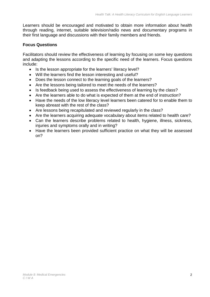Learners should be encouraged and motivated to obtain more information about health through reading, internet, suitable television/radio news and documentary programs in their first language and discussions with their family members and friends.

#### **Focus Questions**

Facilitators should review the effectiveness of learning by focusing on some key questions and adapting the lessons according to the specific need of the learners. Focus questions include:

- Is the lesson appropriate for the learners' literacy level?
- Will the learners find the lesson interesting and useful?
- Does the lesson connect to the learning goals of the learners?
- Are the lessons being tailored to meet the needs of the learners?
- Is feedback being used to assess the effectiveness of learning by the class?
- Are the learners able to do what is expected of them at the end of instruction?
- Have the needs of the low literacy level learners been catered for to enable them to keep abreast with the rest of the class?
- Are lessons being recapitulated and reviewed regularly in the class?
- Are the learners acquiring adequate vocabulary about items related to health care?
- Can the learners describe problems related to health, hygiene, illness, sickness, injuries and symptoms orally and in writing?
- Have the learners been provided sufficient practice on what they will be assessed on?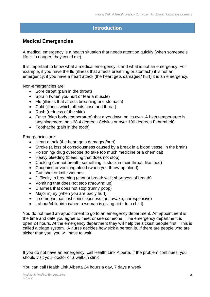#### <span id="page-4-0"></span>**Introduction**

#### **Medical Emergencies**

A medical emergency is a health situation that needs attention quickly (when someone's life is in danger; they could die).

It is important to know what a medical emergency is and what is not an emergency. For example, if you have the flu (illness that affects breathing or stomach) it is not an emergency; if you have a heart attack (the heart gets damaged/ hurt) it is an emergency.

Non-emergencies are:

- Sore throat (pain in the throat)
- Sprain (when you hurt or tear a muscle)
- Flu (illness that affects breathing and stomach)
- Cold (illness which affects nose and throat)
- Rash (redness of the skin)
- Fever (high body temperature) that goes down on its own. A high temperature is anything more than 38.4 degrees Celsius or over 100 degrees Fahrenheit)
- Toothache (pain in the tooth)

Emergencies are:

- Heart attack (the heart gets damaged/hurt)
- Stroke (a loss of consciousness caused by a break in a blood vessel in the brain)
- Poisoning/ drug overdose (to take too much medicine or a chemical)
- Heavy bleeding (bleeding that does not stop)
- Choking (cannot breath; something is stuck in their throat, like food)
- Coughing or vomiting blood (when you throw-up blood)
- Gun shot or knife wounds
- Difficulty in breathing (cannot breath well; shortness of breath)
- Vomiting that does not stop (throwing up)
- Diarrhea that does not stop (runny poop)
- Major injury (when you are badly hurt)
- If someone has lost consciousness (not awake; unresponsive)
- Labour/childbirth (when a woman is giving birth to a child)

You do not need an appointment to go to an emergency department. An appointment is the time and date you agree to meet or see someone. The emergency department is open 24 hours. At the emergency department they will help the sickest people first. This is called a triage system. A nurse decides how sick a person is. If there are people who are sicker than you, you will have to wait.

If you do not have an emergency, call Health Link Alberta. If the problem continues, you should visit your doctor or a walk-in clinic.

You can call Health Link Alberta 24 hours a day, 7 days a week.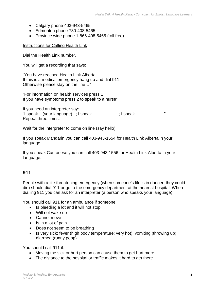- $\bullet$  Calgary phone 403-943-5465
- Edmonton phone 780-408-5465
- Province wide phone 1-866-408-5465 (toll free)

Instructions for Calling Health Link

Dial the Health Link number.

You will get a recording that says:

"You have reached Health Link Alberta. If this is a medical emergency hang up and dial 911. Otherwise please stay on the line…"

"For information on health services press 1 If you have symptoms press 2 to speak to a nurse"

If you need an interpreter say: "I speak (your language) ; I speak \_\_\_\_\_\_\_\_; I speak  $\blacksquare$ " Repeat three times.

Wait for the interpreter to come on line (say hello).

If you speak Mandarin you can call 403-943-1554 for Health Link Alberta in your language.

If you speak Cantonese you can call 403-943-1556 for Health Link Alberta in your language.

#### **911**

People with a life-threatening emergency (when someone's life is in danger; they could die) should dial 911 or go to the emergency department at the nearest hospital. When dialling 911 you can ask for an interpreter (a person who speaks your language).

You should call 911 for an ambulance if someone:

- Is bleeding a lot and it will not stop
- Will not wake up
- Cannot move
- Is in a lot of pain
- Does not seem to be breathing
- Is very sick: fever (high body temperature; very hot), vomiting (throwing up), diarrhea (runny poop)

You should call 911 if:

- Moving the sick or hurt person can cause them to get hurt more
- The distance to the hospital or traffic makes it hard to get there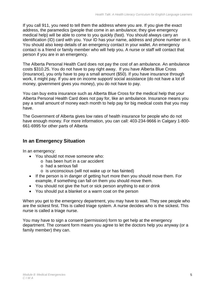If you call 911, you need to tell them the address where you are. If you give the exact address, the paramedics (people that come in an ambulance; they give emergency medical help) will be able to come to you quickly (fast). You should always carry an identification (ID) card with you. Your ID has your name, address and phone number on it. You should also keep details of an emergency contact in your wallet. An emergency contact is a friend or family member who will help you. A nurse or staff will contact that person if you are in an emergency.

The Alberta Personal Health Card does not pay the cost of an ambulance. An ambulance costs \$310.25. You do not have to pay right away. If you have Alberta Blue Cross (insurance), you only have to pay a small amount (\$50). If you have insurance through work, it might pay. If you are on income support/ social assistance (do not have a lot of money, government gives you money), you do not have to pay.

You can buy extra insurance such as Alberta Blue Cross for the medical help that your Alberta Personal Health Card does not pay for, like an ambulance. Insurance means you pay a small amount of money each month to help pay for big medical costs that you may have.

The Government of Alberta gives low rates of health insurance for people who do not have enough money. For more information, you can call: 403-234-9666 in Calgary 1-800- 661-6995 for other parts of Alberta

#### **In an Emergency Situation**

In an emergency:

- You should not move someone who:
	- o has been hurt in a car accident
	- o had a serious fall
	- o is unconscious (will not wake up or has fainted)
- If the person is in danger of getting hurt more then you should move them. For example, if something can fall on them you should move them.
- You should not give the hurt or sick person anything to eat or drink
- You should put a blanket or a warm coat on the person

When you get to the emergency department, you may have to wait. They see people who are the sickest first. This is called triage system. A nurse decides who is the sickest. This nurse is called a triage nurse.

You may have to sign a consent (permission) form to get help at the emergency department. The consent form means you agree to let the doctors help you anyway (or a family member) they can.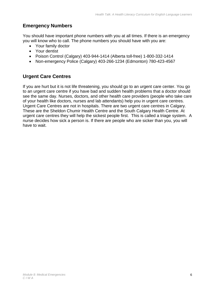#### **Emergency Numbers**

You should have important phone numbers with you at all times. If there is an emergency you will know who to call. The phone numbers you should have with you are:

- Your family doctor
- Your dentist
- Poison Control (Calgary) 403-944-1414 (Alberta toll-free) 1-800-332-1414
- Non-emergency Police (Calgary) 403-266-1234 (Edmonton) 780-423-4567

#### **Urgent Care Centres**

If you are hurt but it is not life threatening, you should go to an urgent care center. You go to an urgent care centre if you have bad and sudden health problems that a doctor should see the same day. Nurses, doctors, and other health care providers (people who take care of your health like doctors, nurses and lab attendants) help you in urgent care centres. Urgent Care Centres are not in hospitals. There are two urgent care centres in Calgary. These are the Sheldon Chumir Health Centre and the South Calgary Health Centre. At urgent care centres they will help the sickest people first. This is called a triage system. A nurse decides how sick a person is. If there are people who are sicker than you, you will have to wait.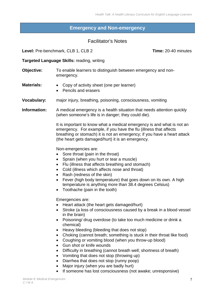#### **Emergency and Non-emergency**

#### Facilitator's Notes

<span id="page-8-0"></span>**Level:** Pre-benchmark, CLB 1, CLB 2 **Time:** 20-40 minutes

#### **Targeted Language Skills:** reading, writing

| Objective:         | To enable learners to distinguish between emergency and non-<br>emergency.                                                                                                                                                                                                                                                                                                                                                                                                                                                                                                                                                                                                                                                                                         |
|--------------------|--------------------------------------------------------------------------------------------------------------------------------------------------------------------------------------------------------------------------------------------------------------------------------------------------------------------------------------------------------------------------------------------------------------------------------------------------------------------------------------------------------------------------------------------------------------------------------------------------------------------------------------------------------------------------------------------------------------------------------------------------------------------|
| <b>Materials:</b>  | Copy of activity sheet (one per learner)<br>$\bullet$<br>Pencils and erasers                                                                                                                                                                                                                                                                                                                                                                                                                                                                                                                                                                                                                                                                                       |
| <b>Vocabulary:</b> | major injury, breathing, poisoning, consciousness, vomiting                                                                                                                                                                                                                                                                                                                                                                                                                                                                                                                                                                                                                                                                                                        |
| Information:       | A medical emergency is a health situation that needs attention quickly<br>(when someone's life is in danger; they could die).                                                                                                                                                                                                                                                                                                                                                                                                                                                                                                                                                                                                                                      |
|                    | It is important to know what a medical emergency is and what is not an<br>emergency. For example, if you have the flu (illness that affects<br>breathing or stomach) it is not an emergency; if you have a heart attack<br>(the heart gets damaged/hurt) it is an emergency.                                                                                                                                                                                                                                                                                                                                                                                                                                                                                       |
|                    | Non-emergencies are:<br>Sore throat (pain in the throat)<br>Sprain (when you hurt or tear a muscle)<br>$\bullet$<br>Flu (illness that affects breathing and stomach)<br>$\bullet$<br>Cold (illness which affects nose and throat)<br>Rash (redness of the skin)<br>Fever (high body temperature) that goes down on its own. A high<br>temperature is anything more than 38.4 degrees Celsius)<br>Toothache (pain in the tooth)                                                                                                                                                                                                                                                                                                                                     |
|                    | Emergencies are:<br>Heart attack (the heart gets damaged/hurt)<br>Stroke (a loss of consciousness caused by a break in a blood vessel<br>$\bullet$<br>in the brain)<br>Poisoning/ drug overdose (to take too much medicine or drink a<br>chemical)<br>Heavy bleeding (bleeding that does not stop)<br>٠<br>Choking (cannot breath; something is stuck in their throat like food)<br>٠<br>Coughing or vomiting blood (when you throw-up blood)<br>Gun shot or knife wounds<br>Difficulty in breathing (cannot breath well; shortness of breath)<br>$\bullet$<br>Vomiting that does not stop (throwing up)<br>٠<br>Diarrhea that does not stop (runny poop)<br>Major injury (when you are badly hurt)<br>If someone has lost consciousness (not awake; unresponsive) |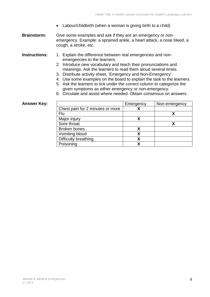- Labour/childbirth (when a woman is giving birth to a child)
- **Brainstorm:** Give some examples and ask if they are an emergency or nonemergency. Example: a sprained ankle, a heart attack, a nose bleed, a cough, a stroke, etc.
- **Instructions:** 1. Explain the difference between real emergencies and nonemergencies to the learners.
	- 2. Introduce new vocabulary and teach their pronunciations and meanings. Ask the learners to read them aloud several times.
	- 3. Distribute activity sheet, 'Emergency and Non-Emergency'.
	- 4. Use some examples on the board to explain the task to the learners.
	- 5. Ask the learners to tick under the correct column to categorize the given symptoms as either emergency or non-emergency.
	- 6. Circulate and assist where needed. Obtain consensus on answers.

#### **Answer Key:**

|                                  | Emergency | Non-emergency |
|----------------------------------|-----------|---------------|
| Chest pain for 2 minutes or more |           |               |
| Flu                              |           |               |
| Major injury                     |           |               |
| Sore throat                      |           |               |
| <b>Broken bones</b>              |           |               |
| Vomiting blood                   |           |               |
| Difficulty breathing             |           |               |
| Poisoning                        |           |               |
|                                  |           |               |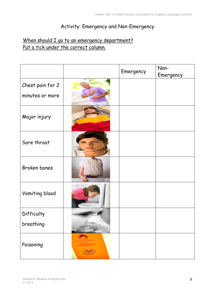## Activity: Emergency and Non-Emergency

## When should I go to an emergency department? Put a tick under the correct column.

|                     |      | Emergency | Non-<br>Emergency |
|---------------------|------|-----------|-------------------|
| Chest pain for 2    |      |           |                   |
| minutes or more     |      |           |                   |
| Major injury        |      |           |                   |
| Sore throat         |      |           |                   |
| <b>Broken bones</b> |      |           |                   |
| Vomiting blood      |      |           |                   |
| Difficulty          |      |           |                   |
| breathing           | ANGE |           |                   |
| Poisoning           |      |           |                   |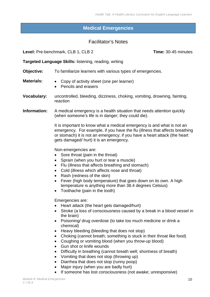#### **Medical Emergencies**

#### Facilitator's Notes

<span id="page-11-0"></span>**Level:** Pre-benchmark, CLB 1, CLB 2 **Time:** 30-45 minutes

**Targeted Language Skills:** listening, reading, writing

**Objective:** To familiarize learners with various types of emergencies.

- **Materials:**  Copy of activity sheet (one per learner)
	- Pencils and erasers
- **Vocabulary:** uncontrolled, bleeding, dizziness, choking, vomiting, drowning, fainting, reaction

**Information:** A medical emergency is a health situation that needs attention quickly (when someone's life is in danger; they could die).

> It is important to know what a medical emergency is and what is not an emergency. For example, if you have the flu (illness that affects breathing or stomach) it is not an emergency; if you have a heart attack (the heart gets damaged/ hurt) it is an emergency.

Non-emergencies are:

- Sore throat (pain in the throat)
- Sprain (when you hurt or tear a muscle)
- Flu (illness that affects breathing and stomach)
- Cold (illness which affects nose and throat)
- Rash (redness of the skin)
- Fever (high body temperature) that goes down on its own. A high temperature is anything more than 38.4 degrees Celsius)
- Toothache (pain in the tooth)

Emergencies are:

- Heart attack (the heart gets damaged/hurt)
- Stroke (a loss of consciousness caused by a break in a blood vessel in the brain)
- Poisoning/ drug overdose (to take too much medicine or drink a chemical)
- Heavy bleeding (bleeding that does not stop)
- Choking (cannot breath; something is stuck in their throat like food)
- Coughing or vomiting blood (when you throw-up blood)
- Gun shot or knife wounds
- Difficulty in breathing (cannot breath well; shortness of breath)
- Vomiting that does not stop (throwing up)
- Diarrhea that does not stop (runny poop)
- Major injury (when you are badly hurt)
- If someone has lost consciousness (not awake; unresponsive)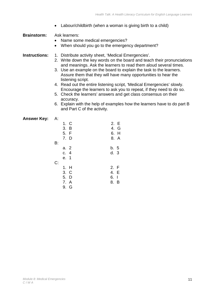• Labour/childbirth (when a woman is giving birth to a child)

**Brainstorm:** Ask learners:

- Name some medical emergencies?
- When should you go to the emergency department?
- **Instructions:** 1. Distribute activity sheet, 'Medical Emergencies'.
	- 2. Write down the key words on the board and teach their pronunciations and meanings. Ask the learners to read them aloud several times.
	- 3. Use an example on the board to explain the task to the learners. Assure them that they will have many opportunities to hear the listening script.
	- 4. Read out the entire listening script, 'Medical Emergencies' slowly. Encourage the learners to ask you to repeat, if they need to do so.
	- 5. Check the learners' answers and get class consensus on their accuracy.
	- 6. Explain with the help of examples how the learners have to do part B and Part C of the activity.

| Answer Key: | - A:                                 |                              |
|-------------|--------------------------------------|------------------------------|
|             | 1. C<br>3. B<br>5. F<br>7. D         | 2. E<br>4. G<br>6. H<br>8. A |
|             | B:                                   |                              |
|             | a. 2<br>c.4<br>e. 1<br>C:            | b. 5<br>d.3                  |
|             | 1. H<br>3. C<br>5. D<br>7. A<br>9. G | 2. F<br>4. E<br>6.1<br>8. B  |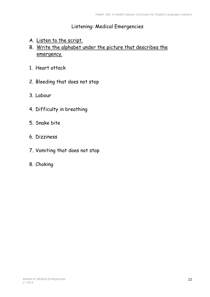## Listening: Medical Emergencies

- A. Listen to the script.
- B. Write the alphabet under the picture that describes the emergency.
- 1. Heart attack
- 2. Bleeding that does not stop
- 3. Labour
- 4. Difficulty in breathing
- 5. Snake bite
- 6. Dizziness
- 7. Vomiting that does not stop
- 8. Choking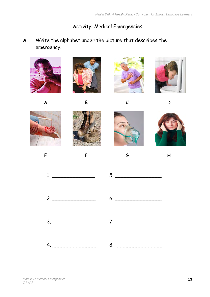Activity: Medical Emergencies

## A. Write the alphabet under the picture that describes the emergency.

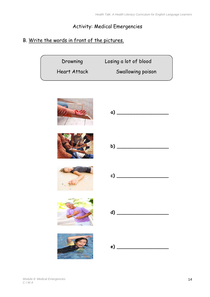#### Activity: Medical Emergencies

## B. Write the words in front of the pictures.

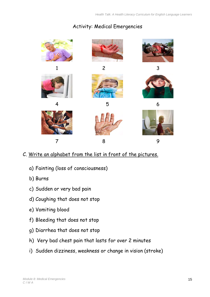## Activity: Medical Emergencies



- C. Write an alphabet from the list in front of the pictures.
	- a) Fainting (loss of consciousness)
	- b) Burns
	- c) Sudden or very bad pain
	- d) Coughing that does not stop
	- e) Vomiting blood
	- f) Bleeding that does not stop
	- g) Diarrhea that does not stop
	- h) Very bad chest pain that lasts for over 2 minutes
	- i) Sudden dizziness, weakness or change in vision (stroke)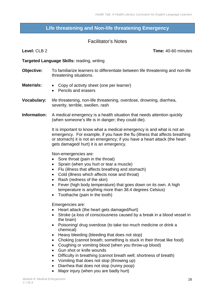#### <span id="page-17-0"></span>**Life threatening and Non-life threatening Emergency**

#### Facilitator's Notes

**Level:** CLB 2 **Time:** 40-60 minutes

#### **Targeted Language Skills:** reading, writing

- **Objective:** To familiarize learners to differentiate between life threatening and non-life threatening situations.
- **Materials:**  Copy of activity sheet (one per learner)
	- Pencils and erasers
- **Vocabulary:** life threatening, non-life threatening, overdose, drowning, diarrhea, severity, terrible, swollen, rash
- **Information:** A medical emergency is a health situation that needs attention quickly (when someone's life is in danger; they could die).

It is important to know what a medical emergency is and what is not an emergency. For example, if you have the flu (illness that affects breathing or stomach) it is not an emergency; if you have a heart attack (the heart gets damaged/ hurt) it is an emergency.

Non-emergencies are:

- Sore throat (pain in the throat)
- Sprain (when you hurt or tear a muscle)
- Flu (illness that affects breathing and stomach)
- Cold (illness which affects nose and throat)
- Rash (redness of the skin)
- Fever (high body temperature) that goes down on its own. A high temperature is anything more than 38.4 degrees Celsius)
- Toothache (pain in the tooth)

#### Emergencies are:

- Heart attack (the heart gets damaged/hurt)
- Stroke (a loss of consciousness caused by a break in a blood vessel in the brain)
- Poisoning/ drug overdose (to take too much medicine or drink a chemical)
- Heavy bleeding (bleeding that does not stop)
- Choking (cannot breath; something is stuck in their throat like food)
- Coughing or vomiting blood (when you throw-up blood)
- Gun shot or knife wounds
- Difficulty in breathing (cannot breath well; shortness of breath)
- Vomiting that does not stop (throwing up)
- Diarrhea that does not stop (runny poop)
- Major injury (when you are badly hurt)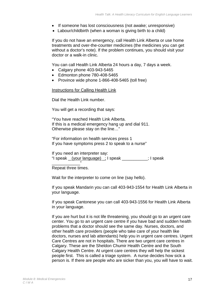- If someone has lost consciousness (not awake; unresponsive)
- Labour/childbirth (when a woman is giving birth to a child)

If you do not have an emergency, call Health Link Alberta or use home treatments and over-the-counter medicines (the medicines you can get without a doctor's note). If the problem continues, you should visit your doctor or a walk-in clinic.

You can call Health Link Alberta 24 hours a day, 7 days a week.

- Calgary phone 403-943-5465
- Edmonton phone 780-408-5465
- Province wide phone 1-866-408-5465 (toll free)

#### Instructions for Calling Health Link

Dial the Health Link number.

You will get a recording that says:

"You have reached Health Link Alberta. If this is a medical emergency hang up and dial 911. Otherwise please stay on the line…"

"For information on health services press 1 If you have symptoms press 2 to speak to a nurse"

If you need an interpreter say: "I speak \_ (your language) \_; I speak \_\_\_\_\_\_\_\_\_\_\_; I speak

\_\_\_\_\_\_\_\_\_\_\_\_" Repeat three times.

Wait for the interpreter to come on line (say hello).

If you speak Mandarin you can call 403-943-1554 for Health Link Alberta in your language.

If you speak Cantonese you can call 403-943-1556 for Health Link Alberta in your language.

If you are hurt but it is not life threatening, you should go to an urgent care center. You go to an urgent care centre if you have bad and sudden health problems that a doctor should see the same day. Nurses, doctors, and other health care providers (people who take care of your health like doctors, nurses and lab attendants) help you in urgent care centres. Urgent Care Centres are not in hospitals. There are two urgent care centres in Calgary. These are the Sheldon Chumir Health Centre and the South Calgary Health Centre. At urgent care centres they will help the sickest people first. This is called a triage system. A nurse decides how sick a person is. If there are people who are sicker than you, you will have to wait.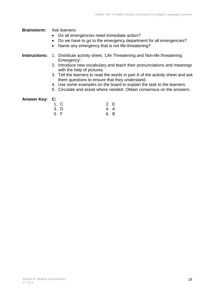**Brainstorm:** Ask learners:

- Do all emergencies need immediate action?
- Do we have to go to the emergency department for all emergencies?
- Name any emergency that is not life-threatening?

#### **Instructions:** 1. Distribute activity sheet, 'Life Threatening and Non-life threatening Emergency'.

- 2. Introduce new vocabulary and teach their pronunciations and meanings with the help of pictures.
- 3. Tell the learners to read the words in part A of the activity sheet and ask them questions to ensure that they understand.
- 4. Use some examples on the board to explain the task to the learners.
- 5. Circulate and assist where needed. Obtain consensus on the answers.

#### **Answer Key: C:**

| 1. C | 2. E |  |
|------|------|--|
| 3. D | 4. A |  |
| 5. F | 6. B |  |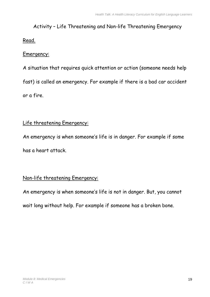## Activity – Life Threatening and Non-life Threatening Emergency

#### Read.

#### Emergency:

A situation that requires quick attention or action (someone needs help fast) is called an emergency. For example if there is a bad car accident or a fire.

## Life threatening Emergency:

An emergency is when someone's life is in danger. For example if some has a heart attack.

## Non-life threatening Emergency:

An emergency is when someone's life is not in danger. But, you cannot wait long without help. For example if someone has a broken bone.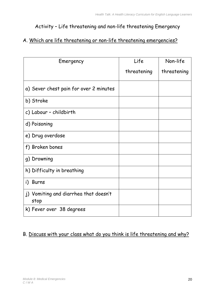## Activity – Life threatening and non-life threatening Emergency

#### A. Which are life threatening or non-life threatening emergencies?

| Emergency                                     | Life        | Non-life    |
|-----------------------------------------------|-------------|-------------|
|                                               | threatening | threatening |
| a) Sever chest pain for over 2 minutes        |             |             |
| b) Stroke                                     |             |             |
| c) Labour - childbirth                        |             |             |
| d) Poisoning                                  |             |             |
| e) Drug overdose                              |             |             |
| f) Broken bones                               |             |             |
| g) Drowning                                   |             |             |
| h) Difficulty in breathing                    |             |             |
| i) Burns                                      |             |             |
| j) Vomiting and diarrhea that doesn't<br>stop |             |             |
| k) Fever over 38 degrees                      |             |             |

#### B. Discuss with your class what do you think is life threatening and why?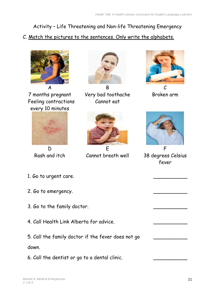## Activity – Life Threatening and Non-life Threatening Emergency

C. Match the pictures to the sentences. Only write the alphabets.



7 months pregnant Feeling contractions every 10 minutes





A B C Very bad toothache Cannot eat



D E F Rash and itch Cannot breath well 38 degrees Celsius



Broken arm



fever

 $\overline{\phantom{a}}$ 

- 1. Go to urgent care.
- 2. Go to emergency.
- 3. Go to the family doctor.
- 4. Call Health Link Alberta for advice.
- 5. Call the family doctor if the fever does not go down.
- 6. Call the dentist or go to a dental clinic.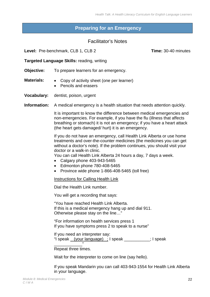#### <span id="page-23-0"></span>**Preparing for an Emergency**

#### Facilitator's Notes

**Level:** Pre-benchmark, CLB 1, CLB 2 **Time:** 30-40 minutes

**Targeted Language Skills:** reading, writing

**Objective:** To prepare learners for an emergency.

**Materials:** • Copy of activity sheet (one per learner)

- Pencils and erasers
- **Vocabulary:** dentist, poison, urgent

**Information:** A medical emergency is a health situation that needs attention quickly.

It is important to know the difference between medical emergencies and non-emergencies. For example, if you have the flu (illness that affects breathing or stomach) it is not an emergency; if you have a heart attack (the heart gets damaged/ hurt) it is an emergency.

If you do not have an emergency, call Health Link Alberta or use home treatments and over-the-counter medicines (the medicines you can get without a doctor's note). If the problem continues, you should visit your doctor or a walk-in clinic.

You can call Health Link Alberta 24 hours a day, 7 days a week.

- Calgary phone 403-943-5465
- Edmonton phone 780-408-5465
- Province wide phone 1-866-408-5465 (toll free)

Instructions for Calling Health Link

Dial the Health Link number.

You will get a recording that says:

"You have reached Health Link Alberta. If this is a medical emergency hang up and dial 911. Otherwise please stay on the line…"

"For information on health services press 1 If you have symptoms press 2 to speak to a nurse"

If you need an interpreter say: "I speak \_ (your language) \_; I speak \_\_\_\_\_\_\_\_\_\_\_; I speak

\_\_\_\_\_\_\_\_\_\_\_\_" Repeat three times.

Wait for the interpreter to come on line (say hello).

If you speak Mandarin you can call 403-943-1554 for Health Link Alberta in your language.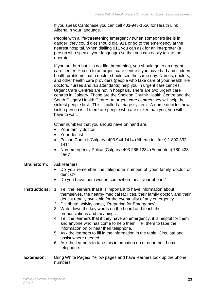If you speak Cantonese you can call 403-943-1556 for Health Link Alberta in your language.

People with a life-threatening emergency (when someone's life is in danger; they could die) should dial 911 or go to the emergency at the nearest hospital. When dialling 911 you can ask for an interpreter (a person who speaks your language) so that you can easily talk to the operator.

If you are hurt but it is not life threatening, you should go to an urgent care center. You go to an urgent care centre if you have bad and sudden health problems that a doctor should see the same day. Nurses, doctors, and other health care providers (people who take care of your health like doctors, nurses and lab attendants) help you in urgent care centres. Urgent Care Centres are not in hospitals. There are two urgent care centres in Calgary. These are the Sheldon Chumir Health Centre and the South Calgary Health Centre. At urgent care centres they will help the sickest people first. This is called a triage system. A nurse decides how sick a person is. If there are people who are sicker than you, you will have to wait.

Other numbers that you should have on hand are:

- Your family doctor
- Your dentist
- Poison Control (Calgary) 403 944 1414 (Alberta toll-free) 1 800 332 1414
- Non-emergency Police (Calgary) 403 266 1234 (Edmonton) 780 423 4567

#### **Brainstorm:** Ask learners:

- Do you remember the telephone number of your family doctor or dentist?
- Do you have them written somewhere near your phone?
- **Instructions:** 1. Tell the learners that it is important to have information about themselves, the nearby medical facilities, their family doctor, and their dentist readily available for the eventuality of any emergency.
	- 2. Distribute activity sheet, 'Preparing for Emergency'.
	- 3. Write down the key words on the board and teach their pronunciations and meanings.
	- 4. Tell the learners that if they have an emergency, it is helpful for them and anyone who has come to help them. Tell them to tape the information on or near their telephone.
	- 5. Ask the learners to fill in the information in the table. Circulate and assist where needed.
	- 6. Ask the learners to tape this information on or near their home telephone.
- **Extension:** Bring White Pages/ Yellow pages and have learners look up the phone numbers.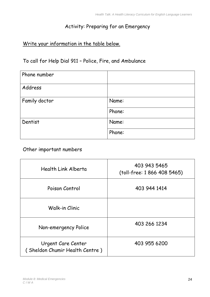## Activity: Preparing for an Emergency

## Write your information in the table below.

## To call for Help Dial 911 – Police, Fire, and Ambulance

| Phone number  |        |
|---------------|--------|
| Address       |        |
| Family doctor | Name:  |
|               | Phone: |
| Dentist       | Name:  |
|               | Phone: |

#### Other important numbers

| Health Link Alberta                                  | 403 943 5465<br>(toll-free: 1 866 408 5465) |
|------------------------------------------------------|---------------------------------------------|
| Poison Control                                       | 403 944 1414                                |
| Walk-in Clinic                                       |                                             |
| Non-emergency Police                                 | 403 266 1234                                |
| Urgent Care Center<br>(Sheldon Chumir Health Centre) | 403 955 6200                                |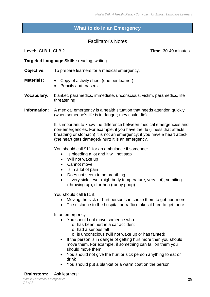#### **What to do in an Emergency**

#### Facilitator's Notes

<span id="page-26-0"></span>**Level:** CLB 1, CLB 2 **Time:** 30-40 minutes

**Targeted Language Skills:** reading, writing

**Objective:** To prepare learners for a medical emergency.

- **Materials:**  Copy of activity sheet (one per learner)
	- Pencils and erasers
- **Vocabulary:** blanket, paramedics, immediate, unconscious, victim, paramedics, life threatening
- **Information:** A medical emergency is a health situation that needs attention quickly (when someone's life is in danger; they could die).

It is important to know the difference between medical emergencies and non-emergencies. For example, if you have the flu (illness that affects breathing or stomach) it is not an emergency; if you have a heart attack (the heart gets damaged/ hurt) it is an emergency.

You should call 911 for an ambulance if someone:

- Is bleeding a lot and it will not stop
- Will not wake up
- Cannot move
- Is in a lot of pain
- Does not seem to be breathing
- Is very sick: fever (high body temperature; very hot), vomiting (throwing up), diarrhea (runny poop)

You should call 911 if:

- Moving the sick or hurt person can cause them to get hurt more
- The distance to the hospital or traffic makes it hard to get there

In an emergency:

- You should not move someone who:
	- o has been hurt in a car accident
	- o had a serious fall
	- o is unconscious (will not wake up or has fainted)
- If the person is in danger of getting hurt more then you should move them. For example, if something can fall on them you should move them.
- You should not give the hurt or sick person anything to eat or drink
- You should put a blanket or a warm coat on the person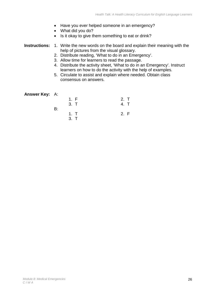- Have you ever helped someone in an emergency?
- What did you do?
- Is it okay to give them something to eat or drink?

#### **Instructions:** 1. Write the new words on the board and explain their meaning with the help of pictures from the visual glossary.

- 2. Distribute reading, 'What to do in an Emergency'.
- 3. Allow time for learners to read the passage.
- 4. Distribute the activity sheet, 'What to do in an Emergency'. Instruct learners on how to do the activity with the help of examples.
- 5. Circulate to assist and explain where needed. Obtain class consensus on answers.

| <b>Answer Key:</b> A: |    |      |      |
|-----------------------|----|------|------|
|                       |    | 1. F | 2. T |
|                       |    | 3. T |      |
|                       | B: |      |      |
|                       |    | 1. T | 2. F |
|                       |    | 3. T |      |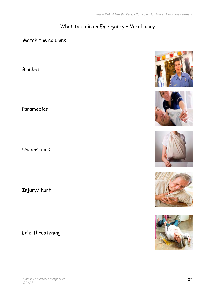## What to do in an Emergency – Vocabulary

## Match the columns.

Blanket

Paramedics

Unconscious

Injury/ hurt

Life-threatening











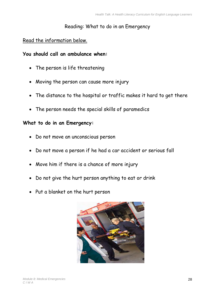#### Reading: What to do in an Emergency

#### Read the information below.

#### **You should call an ambulance when:**

- The person is life threatening
- Moving the person can cause more injury
- The distance to the hospital or traffic makes it hard to get there
- The person needs the special skills of paramedics

#### **What to do in an Emergency:**

- Do not move an unconscious person
- Do not move a person if he had a car accident or serious fall
- Move him if there is a chance of more injury
- Do not give the hurt person anything to eat or drink
- Put a blanket on the hurt person

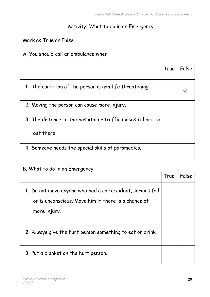#### Activity: What to do in an Emergency

#### Mark as True or False.

A. You should call an ambulance when:

|                                                             | True | False |
|-------------------------------------------------------------|------|-------|
| 1. The condition of the person is non-life threatening.     |      |       |
| 2. Moving the person can cause more injury.                 |      |       |
| 3. The distance to the hospital or traffic makes it hard to |      |       |
| get there                                                   |      |       |
| 4. Someone needs the special skills of paramedics.          |      |       |

# B. What to do in an Emergency True False 1. Do not move anyone who had a car accident, serious fall or is unconscious. Move him if there is a chance of more injury. 2. Always give the hurt person something to eat or drink. 3. Put a blanket on the hurt person.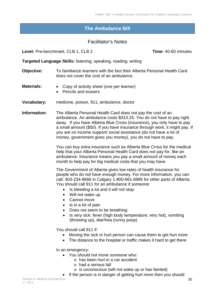#### <span id="page-31-0"></span>**The Ambulance Bill**

#### Facilitator's Notes

**Level:** Pre-benchmark, CLB 1, CLB 2 **Time:** 40-60 minutes

**Targeted Language Skills:** listening, speaking, reading, writing

- **Objective:** To familiarize learners with the fact their Alberta Personal Health Card does not cover the cost of an ambulance.
- **Materials:** Copy of activity sheet (one per learner)
	- Pencils and erasers
- **Vocabulary:** medicine, poison, 911, ambulance, doctor

**Information:** The Alberta Personal Health Card does not pay the cost of an ambulance. An ambulance costs \$310.25. You do not have to pay right away. If you have Alberta Blue Cross (insurance), you only have to pay a small amount (\$50). If you have insurance through work, it might pay. If you are on income support/ social assistance (do not have a lot of money, government gives you money), you do not have to pay.

> You can buy extra insurance such as Alberta Blue Cross for the medical help that your Alberta Personal Health Card does not pay for, like an ambulance. Insurance means you pay a small amount of money each month to help pay for big medical costs that you may have.

> The Government of Alberta gives low rates of health insurance for people who do not have enough money. For more information, you can call: 403-234-9666 in Calgary 1-800-661-6995 for other parts of Alberta You should call 911 for an ambulance if someone:

- Is bleeding a lot and it will not stop
- Will not wake up
- Cannot move
- Is in a lot of pain
- Does not seem to be breathing
- Is very sick: fever (high body temperature; very hot), vomiting (throwing up), diarrhea (runny poop)

You should call 911 if:

- Moving the sick or hurt person can cause them to get hurt more
- The distance to the hospital or traffic makes it hard to get there

In an emergency:

- You should not move someone who:
	- o has been hurt in a car accident
	- o had a serious fall
	- o is unconscious (will not wake up or has fainted)
	- If the person is in danger of getting hurt more then you should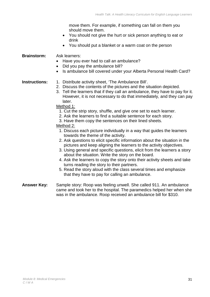move them. For example, if something can fall on them you should move them.

- You should not give the hurt or sick person anything to eat or drink
- You should put a blanket or a warm coat on the person

#### **Brainstorm:** Ask learners:

- Have you ever had to call an ambulance?
- Did you pay the ambulance bill?
- Is ambulance bill covered under your Alberta Personal Health Card?

#### **Instructions:** 1. Distribute activity sheet, 'The Ambulance Bill'.

- 2. Discuss the contents of the pictures and the situation depicted.
- 3. Tell the learners that if they call an ambulance, they have to pay for it. However, it is not necessary to do that immediately, and they can pay later.
- Method 1:
	- 1. Cut the strip story, shuffle, and give one set to each learner.
	- 2. Ask the learners to find a suitable sentence for each story.
	- 3. Have them copy the sentences on their lined sheets.

#### Method 2:

- 1. Discuss each picture individually in a way that guides the learners towards the theme of the activity.
- 2. Ask questions to elicit specific information about the situation in the pictures and keep aligning the learners to the activity objectives.
- 3. Using general and specific questions, elicit from the learners a story about the situation. Write the story on the board.
- 4. Ask the learners to copy the story onto their activity sheets and take turns reading the story to their partners.
- 5. Read the story aloud with the class several times and emphasize that they have to pay for calling an ambulance.
- **Answer Key:** Sample story: Roop was feeling unwell. She called 911. An ambulance came and took her to the hospital. The paramedics helped her when she was in the ambulance. Roop received an ambulance bill for \$310.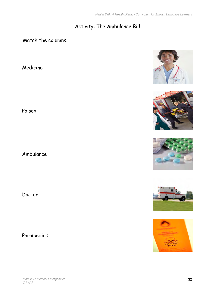## Activity: The Ambulance Bill

## Match the columns.

Medicine

Poison

Ambulance

Doctor

Paramedics









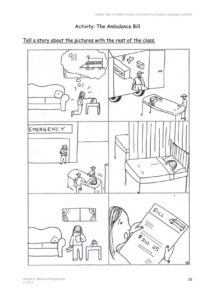## Activity: The Ambulance Bill

## Tell a story about the pictures with the rest of the class.

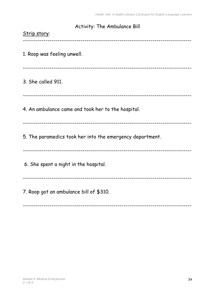| Activity: The Ambulance Bill                              |
|-----------------------------------------------------------|
| Strip story:                                              |
| 1. Roop was feeling unwell.                               |
|                                                           |
| 3. She called 911.                                        |
|                                                           |
| 4. An ambulance came and took her to the hospital.        |
| 5. The paramedics took her into the emergency department. |
| 6. She spent a night in the hospital.                     |
| 7. Roop got an ambulance bill of \$310.                   |

----------------------------------------------------------------------------------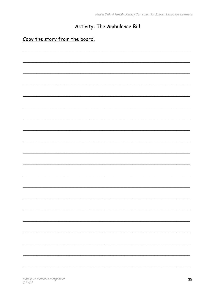Health Talk: A Health Literacy Curriculum for English Language Learners

## Activity: The Ambulance Bill

## Copy the story from the board.

|  |  |  | - |
|--|--|--|---|
|  |  |  |   |
|  |  |  |   |
|  |  |  |   |
|  |  |  |   |
|  |  |  |   |
|  |  |  |   |
|  |  |  |   |
|  |  |  |   |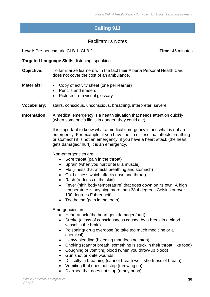## **Calling 911**

#### Facilitator's Notes

<span id="page-37-0"></span>**Level:** Pre-benchmark, CLB 1, CLB 2 **Time:** 45 minutes

**Targeted Language Skills:** listening, speaking

- **Objective:** To familiarize learners with the fact their Alberta Personal Health Card does not cover the cost of an ambulance.
- **Materials:**  Copy of activity sheet (one per learner)
	- Pencils and erasers
	- Pictures from visual glossary
- **Vocabulary:** stairs, conscious, unconscious, breathing, interpreter, severe
- **Information:** A medical emergency is a health situation that needs attention quickly (when someone's life is in danger; they could die).

It is important to know what a medical emergency is and what is not an emergency. For example, if you have the flu (illness that affects breathing or stomach) it is not an emergency; if you have a heart attack (the heart gets damaged/ hurt) it is an emergency.

Non-emergencies are:

- Sore throat (pain in the throat)
- Sprain (when you hurt or tear a muscle)
- Flu (illness that affects breathing and stomach)
- Cold (illness which affects nose and throat)
- Rash (redness of the skin)
- Fever (high body temperature) that goes down on its own. A high temperature is anything more than 38.4 degrees Celsius or over 100 degrees Fahrenheit)
- Toothache (pain in the tooth)

Emergencies are:

- Heart attack (the heart gets damaged/hurt)
- Stroke (a loss of consciousness caused by a break in a blood vessel in the brain)
- Poisoning/ drug overdose (to take too much medicine or a chemical)
- Heavy bleeding (bleeding that does not stop)
- Choking (cannot breath; something is stuck in their throat, like food)
- Coughing or vomiting blood (when you throw-up blood)
- Gun shot or knife wounds
- Difficulty in breathing (cannot breath well; shortness of breath)
- Vomiting that does not stop (throwing up)
- Diarrhea that does not stop (runny poop)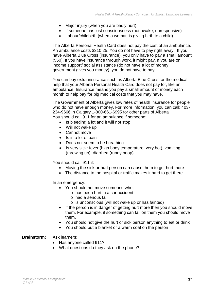- Major injury (when you are badly hurt)
- If someone has lost consciousness (not awake; unresponsive)
- Labour/childbirth (when a woman is giving birth to a child)

The Alberta Personal Health Card does not pay the cost of an ambulance. An ambulance costs \$310.25. You do not have to pay right away. If you have Alberta Blue Cross (insurance), you only have to pay a small amount (\$50). If you have insurance through work, it might pay. If you are on income support/ social assistance (do not have a lot of money, government gives you money), you do not have to pay.

You can buy extra insurance such as Alberta Blue Cross for the medical help that your Alberta Personal Health Card does not pay for, like an ambulance. Insurance means you pay a small amount of money each month to help pay for big medical costs that you may have.

The Government of Alberta gives low rates of health insurance for people who do not have enough money. For more information, you can call: 403- 234-9666 in Calgary 1-800-661-6995 for other parts of Alberta You should call 911 for an ambulance if someone:

- Is bleeding a lot and it will not stop
- Will not wake up
- Cannot move
- Is in a lot of pain
- Does not seem to be breathing
- Is very sick: fever (high body temperature; very hot), vomiting (throwing up), diarrhea (runny poop)

You should call 911 if:

- Moving the sick or hurt person can cause them to get hurt more
- The distance to the hospital or traffic makes it hard to get there

In an emergency:

- You should not move someone who:
	- o has been hurt in a car accident
	- o had a serious fall
	- o is unconscious (will not wake up or has fainted)
- If the person is in danger of getting hurt more then you should move them. For example, if something can fall on them you should move them.
- You should not give the hurt or sick person anything to eat or drink
- You should put a blanket or a warm coat on the person

#### **Brainstorm:** Ask learners:

- Has anyone called 911?
- What questions do they ask on the phone?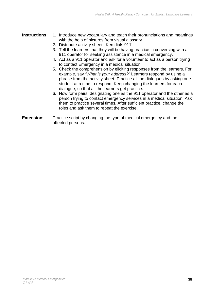- **Instructions:** 1. Introduce new vocabulary and teach their pronunciations and meanings with the help of pictures from visual glossary.
	- 2. Distribute activity sheet, 'Ken dials 911'.
	- 3. Tell the learners that they will be having practice in conversing with a 911 operator for seeking assistance in a medical emergency.
	- 4. Act as a 911 operator and ask for a volunteer to act as a person trying to contact Emergency in a medical situation.
	- 5. Check the comprehension by eliciting responses from the learners. For example, say *"What is your address?"* Learners respond by using a phrase from the activity sheet. Practice all the dialogues by asking one student at a time to respond. Keep changing the learners for each dialogue, so that all the learners get practice.
	- 6. Now form pairs, designating one as the 911 operator and the other as a person trying to contact emergency services in a medical situation. Ask them to practice several times. After sufficient practice, change the roles and ask them to repeat the exercise.
- **Extension:** Practice script by changing the type of medical emergency and the affected persons.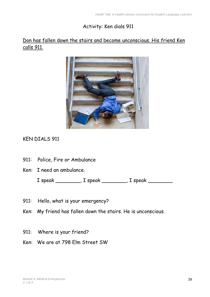## Activity: Ken dials 911

### Don has fallen down the stairs and become unconscious. His friend Ken calls 911.



## KEN DIALS 911

- 911: Police, Fire or Ambulance
- Ken: I need an ambulance.

I speak \_\_\_\_\_\_\_\_, I speak \_\_\_\_\_\_\_\_, I speak \_\_\_\_\_\_\_\_

- 911: Hello, what is your emergency?
- Ken: My friend has fallen down the stairs. He is unconscious.
- 911: Where is your friend?
- Ken: We are at 798 Elm Street SW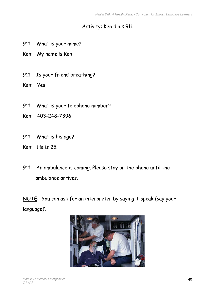## Activity: Ken dials 911

- 911: What is your name?
- Ken: My name is Ken
- 911: Is your friend breathing?
- Ken: Yes.
- 911: What is your telephone number?
- Ken: 403-248-7396
- 911: What is his age?
- Ken: He is 25.
- 911: An ambulance is coming. Please stay on the phone until the ambulance arrives.

NOTE: You can ask for an interpreter by saying 'I speak (say your language)'.

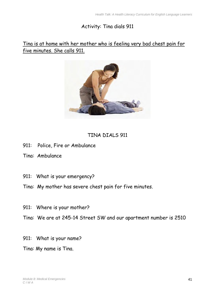### Activity: Tina dials 911

### Tina is at home with her mother who is feeling very bad chest pain for five minutes. She calls 911.



## TINA DIALS 911

- 911: Police, Fire or Ambulance
- Tina: Ambulance
- 911: What is your emergency?
- Tina: My mother has severe chest pain for five minutes.
- 911: Where is your mother?
- Tina: We are at 245-14 Street SW and our apartment number is 2510
- 911: What is your name?
- Tina: My name is Tina.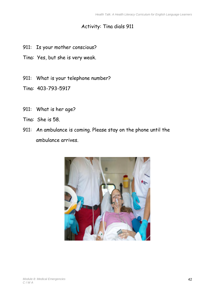## Activity: Tina dials 911

- 911: Is your mother conscious?
- Tina: Yes, but she is very weak.
- 911: What is your telephone number?
- Tina: 403-793-5917
- 911: What is her age?
- Tina: She is 58.
- 911: An ambulance is coming. Please stay on the phone until the ambulance arrives.